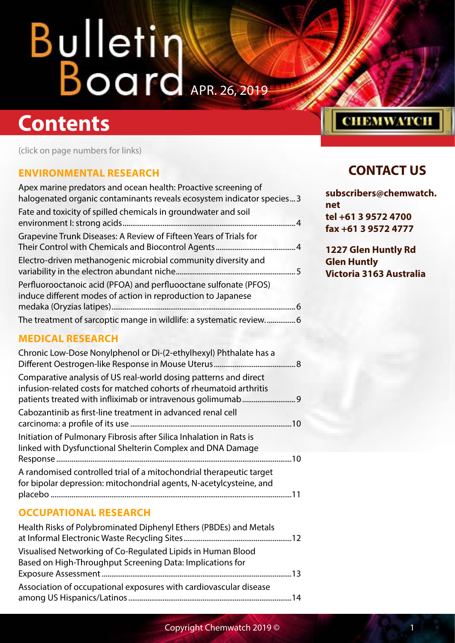### **Contents**

(click on page numbers for links)

#### **[ENVIRONMENTAL RESEARCH](#page-2-0)**

| Apex marine predators and ocean health: Proactive screening of<br>halogenated organic contaminants reveals ecosystem indicator species3 |  |
|-----------------------------------------------------------------------------------------------------------------------------------------|--|
| Fate and toxicity of spilled chemicals in groundwater and soil                                                                          |  |
| Grapevine Trunk Diseases: A Review of Fifteen Years of Trials for                                                                       |  |
| Electro-driven methanogenic microbial community diversity and                                                                           |  |
| Perfluorooctanoic acid (PFOA) and perfluooctane sulfonate (PFOS)<br>induce different modes of action in reproduction to Japanese        |  |
|                                                                                                                                         |  |
|                                                                                                                                         |  |

#### **CONTACT US**

**СНЕМWATCH** 

**subscribers@chemwatch. net tel +61 3 9572 4700 fax +61 3 9572 4777**

**1227 Glen Huntly Rd Glen Huntly Victoria 3163 Australia**

#### **[MEDICAL RESEARCH](#page-7-0)**

#### **[OCCUPATIONAL RESEARCH](#page-11-0)**

| Health Risks of Polybrominated Diphenyl Ethers (PBDEs) and Metals |  |
|-------------------------------------------------------------------|--|
| Visualised Networking of Co-Regulated Lipids in Human Blood       |  |
| Based on High-Throughput Screening Data: Implications for         |  |
|                                                                   |  |
| Association of occupational exposures with cardiovascular disease |  |
|                                                                   |  |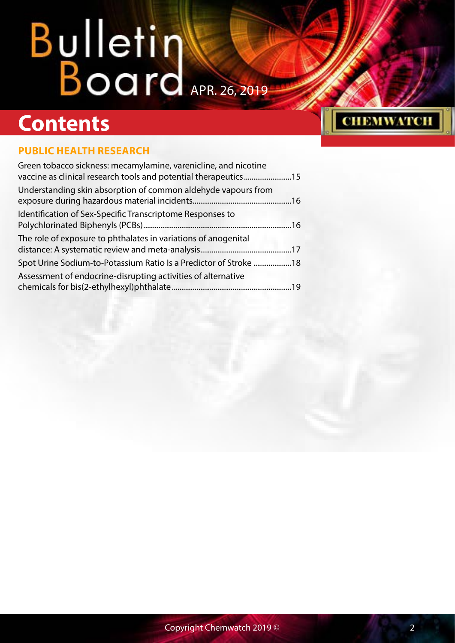### **Contents**

#### **[PUBLIC HEALTH RESEARCH](#page-14-0)**

| Understanding skin absorption of common aldehyde vapours from    |  |
|------------------------------------------------------------------|--|
| Identification of Sex-Specific Transcriptome Responses to        |  |
| The role of exposure to phthalates in variations of anogenital   |  |
| Spot Urine Sodium-to-Potassium Ratio Is a Predictor of Stroke 18 |  |
| Assessment of endocrine-disrupting activities of alternative     |  |

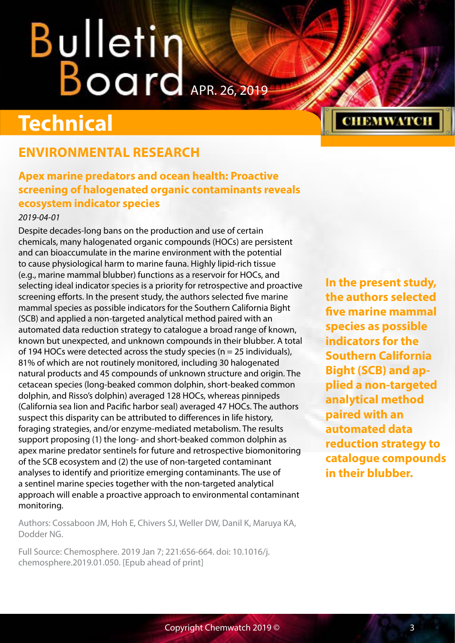# <span id="page-2-0"></span>**Bulletin Warrell**

### **Technical**

#### **ENVIRONMENTAL RESEARCH**

#### **Apex marine predators and ocean health: Proactive screening of halogenated organic contaminants reveals ecosystem indicator species**

#### *2019-04-01*

Despite decades-long bans on the production and use of certain chemicals, many halogenated organic compounds (HOCs) are persistent and can bioaccumulate in the marine environment with the potential to cause physiological harm to marine fauna. Highly lipid-rich tissue (e.g., marine mammal blubber) functions as a reservoir for HOCs, and selecting ideal indicator species is a priority for retrospective and proactive screening efforts. In the present study, the authors selected five marine mammal species as possible indicators for the Southern California Bight (SCB) and applied a non-targeted analytical method paired with an automated data reduction strategy to catalogue a broad range of known, known but unexpected, and unknown compounds in their blubber. A total of 194 HOCs were detected across the study species ( $n = 25$  individuals), 81% of which are not routinely monitored, including 30 halogenated natural products and 45 compounds of unknown structure and origin. The cetacean species (long-beaked common dolphin, short-beaked common dolphin, and Risso's dolphin) averaged 128 HOCs, whereas pinnipeds (California sea lion and Pacific harbor seal) averaged 47 HOCs. The authors suspect this disparity can be attributed to differences in life history, foraging strategies, and/or enzyme-mediated metabolism. The results support proposing (1) the long- and short-beaked common dolphin as apex marine predator sentinels for future and retrospective biomonitoring of the SCB ecosystem and (2) the use of non-targeted contaminant analyses to identify and prioritize emerging contaminants. The use of a sentinel marine species together with the non-targeted analytical approach will enable a proactive approach to environmental contaminant monitoring.

Authors: Cossaboon JM, Hoh E, Chivers SJ, Weller DW, Danil K, Maruya KA, Dodder NG.

Full Source: Chemosphere. 2019 Jan 7; 221:656-664. doi: 10.1016/j. chemosphere.2019.01.050. [Epub ahead of print]

**In the present study, the authors selected five marine mammal species as possible indicators for the Southern California Bight (SCB) and applied a non-targeted analytical method paired with an automated data reduction strategy to catalogue compounds in their blubber.**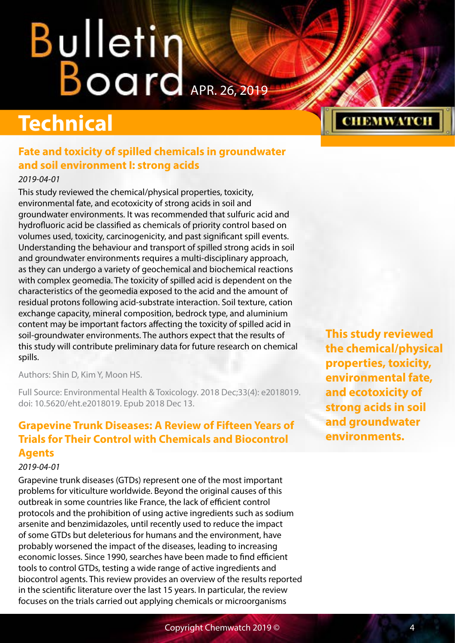# <span id="page-3-0"></span>**Bulletin Warner**

## **Technical**

#### **Fate and toxicity of spilled chemicals in groundwater and soil environment I: strong acids**

#### *2019-04-01*

This study reviewed the chemical/physical properties, toxicity, environmental fate, and ecotoxicity of strong acids in soil and groundwater environments. It was recommended that sulfuric acid and hydrofluoric acid be classified as chemicals of priority control based on volumes used, toxicity, carcinogenicity, and past significant spill events. Understanding the behaviour and transport of spilled strong acids in soil and groundwater environments requires a multi-disciplinary approach, as they can undergo a variety of geochemical and biochemical reactions with complex geomedia. The toxicity of spilled acid is dependent on the characteristics of the geomedia exposed to the acid and the amount of residual protons following acid-substrate interaction. Soil texture, cation exchange capacity, mineral composition, bedrock type, and aluminium content may be important factors affecting the toxicity of spilled acid in soil-groundwater environments. The authors expect that the results of this study will contribute preliminary data for future research on chemical spills.

Authors: Shin D, Kim Y, Moon HS.

Full Source: Environmental Health & Toxicology. 2018 Dec;33(4): e2018019. doi: 10.5620/eht.e2018019. Epub 2018 Dec 13.

#### **Grapevine Trunk Diseases: A Review of Fifteen Years of Trials for Their Control with Chemicals and Biocontrol Agents**

#### *2019-04-01*

Grapevine trunk diseases (GTDs) represent one of the most important problems for viticulture worldwide. Beyond the original causes of this outbreak in some countries like France, the lack of efficient control protocols and the prohibition of using active ingredients such as sodium arsenite and benzimidazoles, until recently used to reduce the impact of some GTDs but deleterious for humans and the environment, have probably worsened the impact of the diseases, leading to increasing economic losses. Since 1990, searches have been made to find efficient tools to control GTDs, testing a wide range of active ingredients and biocontrol agents. This review provides an overview of the results reported in the scientific literature over the last 15 years. In particular, the review focuses on the trials carried out applying chemicals or microorganisms

**This study reviewed the chemical/physical properties, toxicity, environmental fate, and ecotoxicity of strong acids in soil and groundwater environments.**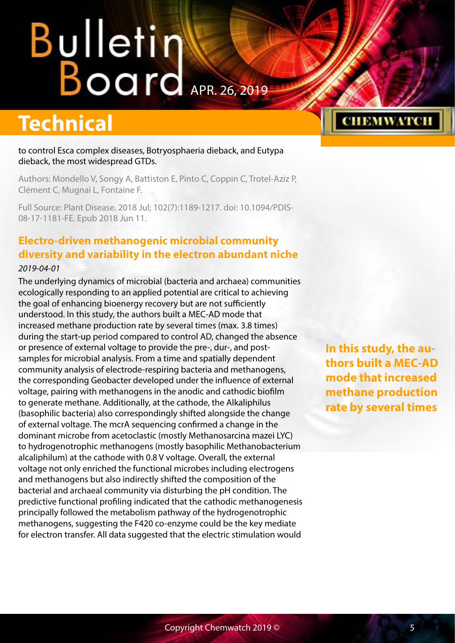### <span id="page-4-0"></span>**Technical**

to control Esca complex diseases, Botryosphaeria dieback, and Eutypa dieback, the most widespread GTDs.

Authors: Mondello V, Songy A, Battiston E, Pinto C, Coppin C, Trotel-Aziz P, Clément C, Mugnai L, Fontaine F.

Full Source: Plant Disease. 2018 Jul; 102(7):1189-1217. doi: 10.1094/PDIS-08-17-1181-FE. Epub 2018 Jun 11.

#### **Electro-driven methanogenic microbial community diversity and variability in the electron abundant niche** *2019-04-01*

The underlying dynamics of microbial (bacteria and archaea) communities ecologically responding to an applied potential are critical to achieving the goal of enhancing bioenergy recovery but are not sufficiently understood. In this study, the authors built a MEC-AD mode that increased methane production rate by several times (max. 3.8 times) during the start-up period compared to control AD, changed the absence or presence of external voltage to provide the pre-, dur-, and postsamples for microbial analysis. From a time and spatially dependent community analysis of electrode-respiring bacteria and methanogens, the corresponding Geobacter developed under the influence of external voltage, pairing with methanogens in the anodic and cathodic biofilm to generate methane. Additionally, at the cathode, the Alkaliphilus (basophilic bacteria) also correspondingly shifted alongside the change of external voltage. The mcrA sequencing confirmed a change in the dominant microbe from acetoclastic (mostly Methanosarcina mazei LYC) to hydrogenotrophic methanogens (mostly basophilic Methanobacterium alcaliphilum) at the cathode with 0.8 V voltage. Overall, the external voltage not only enriched the functional microbes including electrogens and methanogens but also indirectly shifted the composition of the bacterial and archaeal community via disturbing the pH condition. The predictive functional profiling indicated that the cathodic methanogenesis principally followed the metabolism pathway of the hydrogenotrophic methanogens, suggesting the F420 co-enzyme could be the key mediate for electron transfer. All data suggested that the electric stimulation would

**In this study, the authors built a MEC-AD mode that increased methane production rate by several times**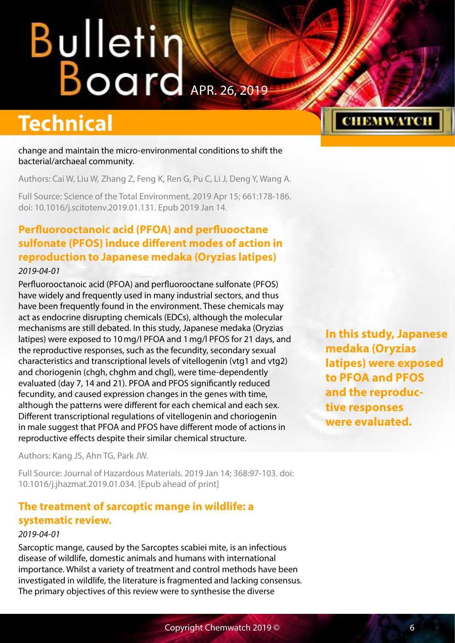## <span id="page-5-0"></span>**Bulleting Board**

### **Technical**

change and maintain the micro-environmental conditions to shift the bacterial/archaeal community.

Authors: Cai W, Liu W, Zhang Z, Feng K, Ren G, Pu C, Li J, Deng Y, Wang A.

Full Source: Science of the Total Environment. 2019 Apr 15; 661:178-186. doi: 10.1016/j.scitotenv.2019.01.131. Epub 2019 Jan 14.

#### **Perfluorooctanoic acid (PFOA) and perfluooctane sulfonate (PFOS) induce different modes of action in reproduction to Japanese medaka (Oryzias latipes)** *2019-04-01*

Perfluorooctanoic acid (PFOA) and perfluorooctane sulfonate (PFOS) have widely and frequently used in many industrial sectors, and thus have been frequently found in the environment. These chemicals may act as endocrine disrupting chemicals (EDCs), although the molecular mechanisms are still debated. In this study, Japanese medaka (Oryzias latipes) were exposed to 10mg/l PFOA and 1mg/l PFOS for 21 days, and the reproductive responses, such as the fecundity, secondary sexual characteristics and transcriptional levels of vitellogenin (vtg1 and vtg2) and choriogenin (chgh, chghm and chgl), were time-dependently evaluated (day 7, 14 and 21). PFOA and PFOS significantly reduced fecundity, and caused expression changes in the genes with time, although the patterns were different for each chemical and each sex. Different transcriptional regulations of vitellogenin and choriogenin in male suggest that PFOA and PFOS have different mode of actions in reproductive effects despite their similar chemical structure.

Authors: Kang JS, Ahn TG, Park JW.

Full Source: Journal of Hazardous Materials. 2019 Jan 14; 368:97-103. doi: 10.1016/j.jhazmat.2019.01.034. [Epub ahead of print]

#### **The treatment of sarcoptic mange in wildlife: a systematic review.**

#### *2019-04-01*

Sarcoptic mange, caused by the Sarcoptes scabiei mite, is an infectious disease of wildlife, domestic animals and humans with international importance. Whilst a variety of treatment and control methods have been investigated in wildlife, the literature is fragmented and lacking consensus. The primary objectives of this review were to synthesise the diverse

**In this study, Japanese medaka (Oryzias latipes) were exposed to PFOA and PFOS and the reproductive responses were evaluated.**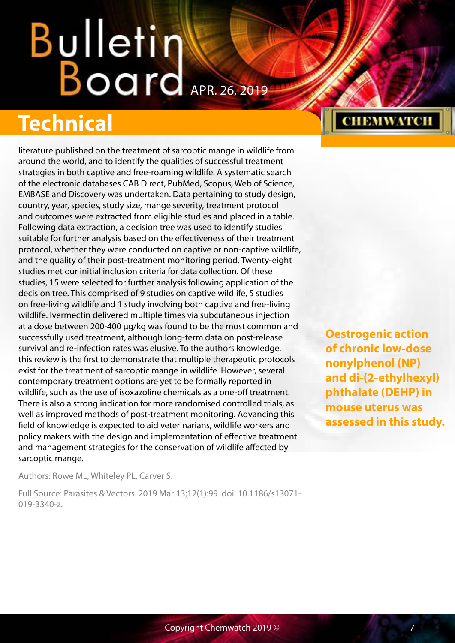## **Technical**

literature published on the treatment of sarcoptic mange in wildlife from around the world, and to identify the qualities of successful treatment strategies in both captive and free-roaming wildlife. A systematic search of the electronic databases CAB Direct, PubMed, Scopus, Web of Science, EMBASE and Discovery was undertaken. Data pertaining to study design, country, year, species, study size, mange severity, treatment protocol and outcomes were extracted from eligible studies and placed in a table. Following data extraction, a decision tree was used to identify studies suitable for further analysis based on the effectiveness of their treatment protocol, whether they were conducted on captive or non-captive wildlife, and the quality of their post-treatment monitoring period. Twenty-eight studies met our initial inclusion criteria for data collection. Of these studies, 15 were selected for further analysis following application of the decision tree. This comprised of 9 studies on captive wildlife, 5 studies on free-living wildlife and 1 study involving both captive and free-living wildlife. Ivermectin delivered multiple times via subcutaneous injection at a dose between 200-400 µg/kg was found to be the most common and successfully used treatment, although long-term data on post-release survival and re-infection rates was elusive. To the authors knowledge, this review is the first to demonstrate that multiple therapeutic protocols exist for the treatment of sarcoptic mange in wildlife. However, several contemporary treatment options are yet to be formally reported in wildlife, such as the use of isoxazoline chemicals as a one-off treatment. There is also a strong indication for more randomised controlled trials, as well as improved methods of post-treatment monitoring. Advancing this field of knowledge is expected to aid veterinarians, wildlife workers and policy makers with the design and implementation of effective treatment and management strategies for the conservation of wildlife affected by sarcoptic mange.

**Oestrogenic action of chronic low-dose nonylphenol (NP) and di-(2-ethylhexyl) phthalate (DEHP) in mouse uterus was assessed in this study.**

**CHEMWATCH** 

Authors: Rowe ML, Whiteley PL, Carver S.

Full Source: Parasites & Vectors. 2019 Mar 13;12(1):99. doi: 10.1186/s13071- 019-3340-z.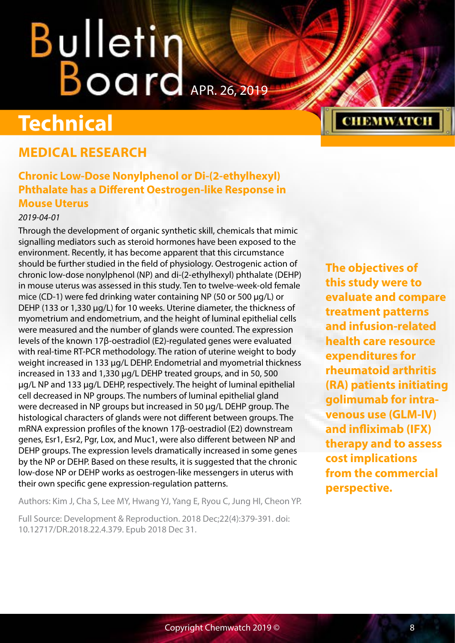## <span id="page-7-0"></span>Bulletin Board APR. 26, 2019

### **Technical**

#### **MEDICAL RESEARCH**

#### **Chronic Low-Dose Nonylphenol or Di-(2-ethylhexyl) Phthalate has a Different Oestrogen-like Response in Mouse Uterus**

#### *2019-04-01*

Through the development of organic synthetic skill, chemicals that mimic signalling mediators such as steroid hormones have been exposed to the environment. Recently, it has become apparent that this circumstance should be further studied in the field of physiology. Oestrogenic action of chronic low-dose nonylphenol (NP) and di-(2-ethylhexyl) phthalate (DEHP) in mouse uterus was assessed in this study. Ten to twelve-week-old female mice (CD-1) were fed drinking water containing NP (50 or 500 μg/L) or DEHP (133 or 1,330 μg/L) for 10 weeks. Uterine diameter, the thickness of myometrium and endometrium, and the height of luminal epithelial cells were measured and the number of glands were counted. The expression levels of the known 17β-oestradiol (E2)-regulated genes were evaluated with real-time RT-PCR methodology. The ration of uterine weight to body weight increased in 133 μg/L DEHP. Endometrial and myometrial thickness increased in 133 and 1,330 μg/L DEHP treated groups, and in 50, 500 μg/L NP and 133 μg/L DEHP, respectively. The height of luminal epithelial cell decreased in NP groups. The numbers of luminal epithelial gland were decreased in NP groups but increased in 50 μg/L DEHP group. The histological characters of glands were not different between groups. The mRNA expression profiles of the known 17β-oestradiol (E2) downstream genes, Esr1, Esr2, Pgr, Lox, and Muc1, were also different between NP and DEHP groups. The expression levels dramatically increased in some genes by the NP or DEHP. Based on these results, it is suggested that the chronic low-dose NP or DEHP works as oestrogen-like messengers in uterus with their own specific gene expression-regulation patterns.

Authors: Kim J, Cha S, Lee MY, Hwang YJ, Yang E, Ryou C, Jung HI, Cheon YP.

Full Source: Development & Reproduction. 2018 Dec;22(4):379-391. doi: 10.12717/DR.2018.22.4.379. Epub 2018 Dec 31.

**The objectives of this study were to evaluate and compare treatment patterns and infusion-related health care resource expenditures for rheumatoid arthritis (RA) patients initiating golimumab for intravenous use (GLM-IV) and infliximab (IFX) therapy and to assess cost implications from the commercial perspective.**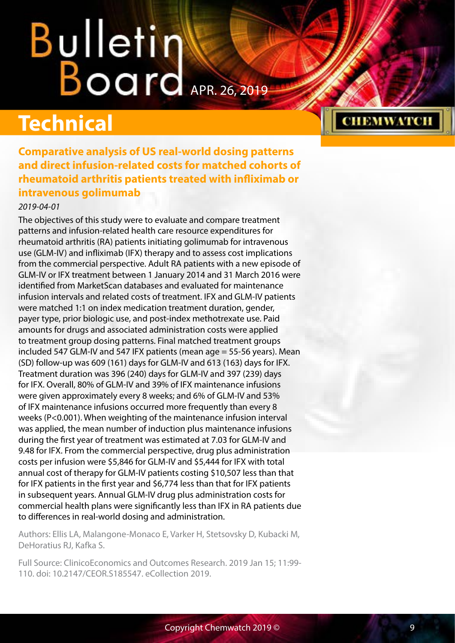# <span id="page-8-0"></span>**Bulleting Board**

### **Technical**

**Comparative analysis of US real-world dosing patterns and direct infusion-related costs for matched cohorts of rheumatoid arthritis patients treated with infliximab or intravenous golimumab**

#### *2019-04-01*

The objectives of this study were to evaluate and compare treatment patterns and infusion-related health care resource expenditures for rheumatoid arthritis (RA) patients initiating golimumab for intravenous use (GLM-IV) and infliximab (IFX) therapy and to assess cost implications from the commercial perspective. Adult RA patients with a new episode of GLM-IV or IFX treatment between 1 January 2014 and 31 March 2016 were identified from MarketScan databases and evaluated for maintenance infusion intervals and related costs of treatment. IFX and GLM-IV patients were matched 1:1 on index medication treatment duration, gender, payer type, prior biologic use, and post-index methotrexate use. Paid amounts for drugs and associated administration costs were applied to treatment group dosing patterns. Final matched treatment groups included 547 GLM-IV and 547 IFX patients (mean age = 55-56 years). Mean (SD) follow-up was 609 (161) days for GLM-IV and 613 (163) days for IFX. Treatment duration was 396 (240) days for GLM-IV and 397 (239) days for IFX. Overall, 80% of GLM-IV and 39% of IFX maintenance infusions were given approximately every 8 weeks; and 6% of GLM-IV and 53% of IFX maintenance infusions occurred more frequently than every 8 weeks (P<0.001). When weighting of the maintenance infusion interval was applied, the mean number of induction plus maintenance infusions during the first year of treatment was estimated at 7.03 for GLM-IV and 9.48 for IFX. From the commercial perspective, drug plus administration costs per infusion were \$5,846 for GLM-IV and \$5,444 for IFX with total annual cost of therapy for GLM-IV patients costing \$10,507 less than that for IFX patients in the first year and \$6,774 less than that for IFX patients in subsequent years. Annual GLM-IV drug plus administration costs for commercial health plans were significantly less than IFX in RA patients due to differences in real-world dosing and administration.

Authors: Ellis LA, Malangone-Monaco E, Varker H, Stetsovsky D, Kubacki M, DeHoratius RJ, Kafka S.

Full Source: ClinicoEconomics and Outcomes Research. 2019 Jan 15; 11:99- 110. doi: 10.2147/CEOR.S185547. eCollection 2019.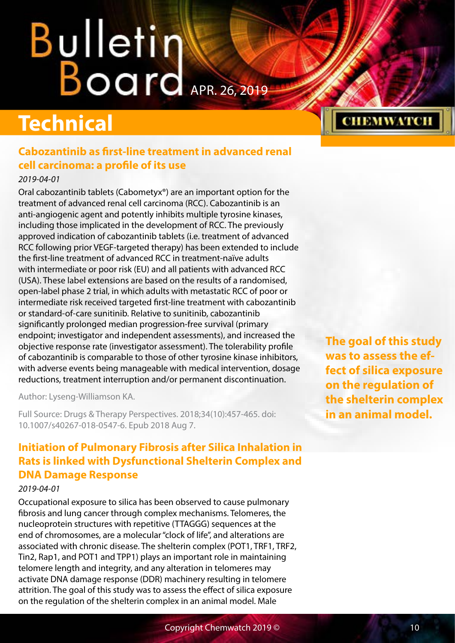# <span id="page-9-0"></span>**Bulletin Warrell**

## **Technical**

#### **Cabozantinib as first-line treatment in advanced renal cell carcinoma: a profile of its use**

#### *2019-04-01*

Oral cabozantinib tablets (Cabometyx®) are an important option for the treatment of advanced renal cell carcinoma (RCC). Cabozantinib is an anti-angiogenic agent and potently inhibits multiple tyrosine kinases, including those implicated in the development of RCC. The previously approved indication of cabozantinib tablets (i.e. treatment of advanced RCC following prior VEGF-targeted therapy) has been extended to include the first-line treatment of advanced RCC in treatment-naïve adults with intermediate or poor risk (EU) and all patients with advanced RCC (USA). These label extensions are based on the results of a randomised, open-label phase 2 trial, in which adults with metastatic RCC of poor or intermediate risk received targeted first-line treatment with cabozantinib or standard-of-care sunitinib. Relative to sunitinib, cabozantinib significantly prolonged median progression-free survival (primary endpoint; investigator and independent assessments), and increased the objective response rate (investigator assessment). The tolerability profile of cabozantinib is comparable to those of other tyrosine kinase inhibitors, with adverse events being manageable with medical intervention, dosage reductions, treatment interruption and/or permanent discontinuation.

Author: Lyseng-Williamson KA.

Full Source: Drugs & Therapy Perspectives. 2018;34(10):457-465. doi: 10.1007/s40267-018-0547-6. Epub 2018 Aug 7.

#### **Initiation of Pulmonary Fibrosis after Silica Inhalation in Rats is linked with Dysfunctional Shelterin Complex and DNA Damage Response**

#### *2019-04-01*

Occupational exposure to silica has been observed to cause pulmonary fibrosis and lung cancer through complex mechanisms. Telomeres, the nucleoprotein structures with repetitive (TTAGGG) sequences at the end of chromosomes, are a molecular "clock of life", and alterations are associated with chronic disease. The shelterin complex (POT1, TRF1, TRF2, Tin2, Rap1, and POT1 and TPP1) plays an important role in maintaining telomere length and integrity, and any alteration in telomeres may activate DNA damage response (DDR) machinery resulting in telomere attrition. The goal of this study was to assess the effect of silica exposure on the regulation of the shelterin complex in an animal model. Male

**The goal of this study was to assess the effect of silica exposure on the regulation of the shelterin complex in an animal model.**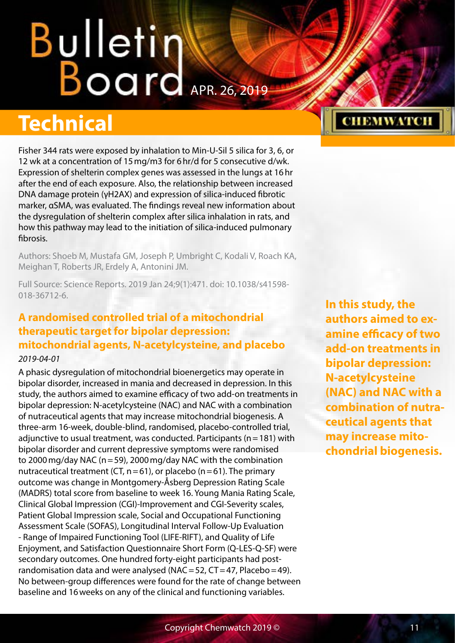## <span id="page-10-0"></span>**Bulletin William Board**

### **Technical**

Fisher 344 rats were exposed by inhalation to Min-U-Sil 5 silica for 3, 6, or 12 wk at a concentration of 15mg/m3 for 6hr/d for 5 consecutive d/wk. Expression of shelterin complex genes was assessed in the lungs at 16hr after the end of each exposure. Also, the relationship between increased DNA damage protein (γH2AX) and expression of silica-induced fibrotic marker, αSMA, was evaluated. The findings reveal new information about the dysregulation of shelterin complex after silica inhalation in rats, and how this pathway may lead to the initiation of silica-induced pulmonary fibrosis.

Authors: Shoeb M, Mustafa GM, Joseph P, Umbright C, Kodali V, Roach KA, Meighan T, Roberts JR, Erdely A, Antonini JM.

Full Source: Science Reports. 2019 Jan 24;9(1):471. doi: 10.1038/s41598- 018-36712-6.

#### **A randomised controlled trial of a mitochondrial therapeutic target for bipolar depression: mitochondrial agents, N-acetylcysteine, and placebo**

#### *2019-04-01*

A phasic dysregulation of mitochondrial bioenergetics may operate in bipolar disorder, increased in mania and decreased in depression. In this study, the authors aimed to examine efficacy of two add-on treatments in bipolar depression: N-acetylcysteine (NAC) and NAC with a combination of nutraceutical agents that may increase mitochondrial biogenesis. A three-arm 16-week, double-blind, randomised, placebo-controlled trial, adjunctive to usual treatment, was conducted. Participants ( $n=181$ ) with bipolar disorder and current depressive symptoms were randomised to 2000mg/day NAC (n=59), 2000mg/day NAC with the combination nutraceutical treatment (CT,  $n=61$ ), or placebo ( $n=61$ ). The primary outcome was change in Montgomery-Åsberg Depression Rating Scale (MADRS) total score from baseline to week 16. Young Mania Rating Scale, Clinical Global Impression (CGI)-Improvement and CGI-Severity scales, Patient Global Impression scale, Social and Occupational Functioning Assessment Scale (SOFAS), Longitudinal Interval Follow-Up Evaluation - Range of Impaired Functioning Tool (LIFE-RIFT), and Quality of Life Enjoyment, and Satisfaction Questionnaire Short Form (Q-LES-Q-SF) were secondary outcomes. One hundred forty-eight participants had postrandomisation data and were analysed (NAC = 52,  $CT = 47$ , Placebo = 49). No between-group differences were found for the rate of change between baseline and 16weeks on any of the clinical and functioning variables.

**In this study, the authors aimed to examine efficacy of two add-on treatments in bipolar depression: N-acetylcysteine (NAC) and NAC with a combination of nutraceutical agents that may increase mitochondrial biogenesis.**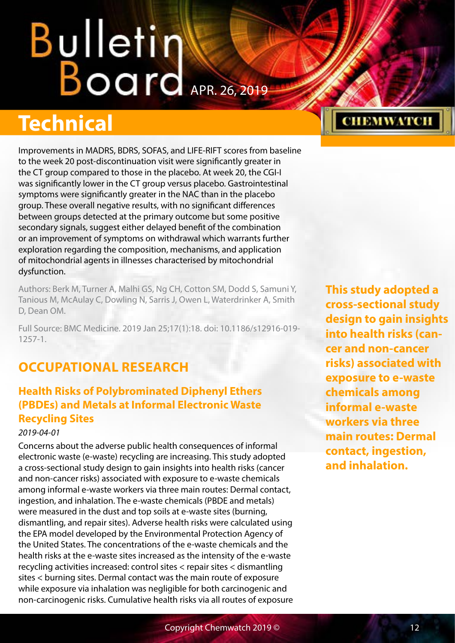## <span id="page-11-0"></span>**Bulletin Warrell**

## **Technical**

Improvements in MADRS, BDRS, SOFAS, and LIFE-RIFT scores from baseline to the week 20 post-discontinuation visit were significantly greater in the CT group compared to those in the placebo. At week 20, the CGI-I was significantly lower in the CT group versus placebo. Gastrointestinal symptoms were significantly greater in the NAC than in the placebo group. These overall negative results, with no significant differences between groups detected at the primary outcome but some positive secondary signals, suggest either delayed benefit of the combination or an improvement of symptoms on withdrawal which warrants further exploration regarding the composition, mechanisms, and application of mitochondrial agents in illnesses characterised by mitochondrial dysfunction.

Authors: Berk M, Turner A, Malhi GS, Ng CH, Cotton SM, Dodd S, Samuni Y, Tanious M, McAulay C, Dowling N, Sarris J, Owen L, Waterdrinker A, Smith D, Dean OM.

Full Source: BMC Medicine. 2019 Jan 25;17(1):18. doi: 10.1186/s12916-019- 1257-1.

#### **OCCUPATIONAL RESEARCH**

#### **Health Risks of Polybrominated Diphenyl Ethers (PBDEs) and Metals at Informal Electronic Waste Recycling Sites**

#### *2019-04-01*

Concerns about the adverse public health consequences of informal electronic waste (e-waste) recycling are increasing. This study adopted a cross-sectional study design to gain insights into health risks (cancer and non-cancer risks) associated with exposure to e-waste chemicals among informal e-waste workers via three main routes: Dermal contact, ingestion, and inhalation. The e-waste chemicals (PBDE and metals) were measured in the dust and top soils at e-waste sites (burning, dismantling, and repair sites). Adverse health risks were calculated using the EPA model developed by the Environmental Protection Agency of the United States. The concentrations of the e-waste chemicals and the health risks at the e-waste sites increased as the intensity of the e-waste recycling activities increased: control sites < repair sites < dismantling sites < burning sites. Dermal contact was the main route of exposure while exposure via inhalation was negligible for both carcinogenic and non-carcinogenic risks. Cumulative health risks via all routes of exposure **This study adopted a cross-sectional study design to gain insights into health risks (cancer and non-cancer risks) associated with exposure to e-waste chemicals among informal e-waste workers via three main routes: Dermal contact, ingestion, and inhalation.**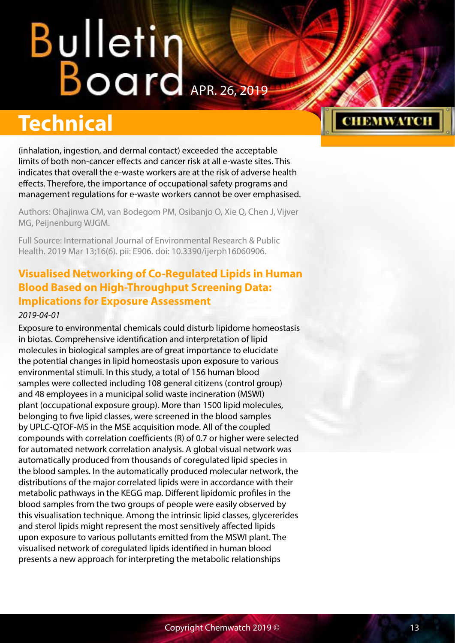## <span id="page-12-0"></span>**Bulletin Board**

## **Technical**

(inhalation, ingestion, and dermal contact) exceeded the acceptable limits of both non-cancer effects and cancer risk at all e-waste sites. This indicates that overall the e-waste workers are at the risk of adverse health effects. Therefore, the importance of occupational safety programs and management regulations for e-waste workers cannot be over emphasised.

Authors: Ohajinwa CM, van Bodegom PM, Osibanjo O, Xie Q, Chen J, Vijver MG, Peijnenburg WJGM.

Full Source: International Journal of Environmental Research & Public Health. 2019 Mar 13;16(6). pii: E906. doi: 10.3390/ijerph16060906.

#### **Visualised Networking of Co-Regulated Lipids in Human Blood Based on High-Throughput Screening Data: Implications for Exposure Assessment** *2019-04-01*

Exposure to environmental chemicals could disturb lipidome homeostasis in biotas. Comprehensive identification and interpretation of lipid molecules in biological samples are of great importance to elucidate the potential changes in lipid homeostasis upon exposure to various environmental stimuli. In this study, a total of 156 human blood samples were collected including 108 general citizens (control group) and 48 employees in a municipal solid waste incineration (MSWI) plant (occupational exposure group). More than 1500 lipid molecules, belonging to five lipid classes, were screened in the blood samples by UPLC-QTOF-MS in the MSE acquisition mode. All of the coupled compounds with correlation coefficients (R) of 0.7 or higher were selected for automated network correlation analysis. A global visual network was automatically produced from thousands of coregulated lipid species in the blood samples. In the automatically produced molecular network, the distributions of the major correlated lipids were in accordance with their metabolic pathways in the KEGG map. Different lipidomic profiles in the blood samples from the two groups of people were easily observed by this visualisation technique. Among the intrinsic lipid classes, glycererides and sterol lipids might represent the most sensitively affected lipids upon exposure to various pollutants emitted from the MSWI plant. The visualised network of coregulated lipids identified in human blood presents a new approach for interpreting the metabolic relationships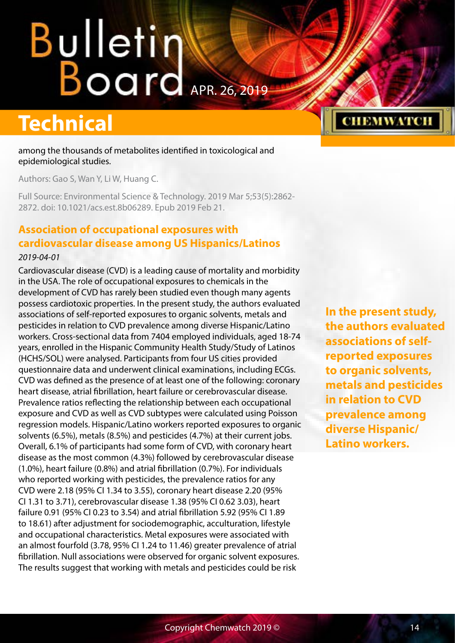## <span id="page-13-0"></span>Bulletin Karl 2019

### **Technical**

among the thousands of metabolites identified in toxicological and epidemiological studies.

Authors: Gao S, Wan Y, Li W, Huang C.

Full Source: Environmental Science & Technology. 2019 Mar 5;53(5):2862- 2872. doi: 10.1021/acs.est.8b06289. Epub 2019 Feb 21.

#### **Association of occupational exposures with cardiovascular disease among US Hispanics/Latinos**

#### *2019-04-01*

Cardiovascular disease (CVD) is a leading cause of mortality and morbidity in the USA. The role of occupational exposures to chemicals in the development of CVD has rarely been studied even though many agents possess cardiotoxic properties. In the present study, the authors evaluated associations of self-reported exposures to organic solvents, metals and pesticides in relation to CVD prevalence among diverse Hispanic/Latino workers. Cross-sectional data from 7404 employed individuals, aged 18-74 years, enrolled in the Hispanic Community Health Study/Study of Latinos (HCHS/SOL) were analysed. Participants from four US cities provided questionnaire data and underwent clinical examinations, including ECGs. CVD was defined as the presence of at least one of the following: coronary heart disease, atrial fibrillation, heart failure or cerebrovascular disease. Prevalence ratios reflecting the relationship between each occupational exposure and CVD as well as CVD subtypes were calculated using Poisson regression models. Hispanic/Latino workers reported exposures to organic solvents (6.5%), metals (8.5%) and pesticides (4.7%) at their current jobs. Overall, 6.1% of participants had some form of CVD, with coronary heart disease as the most common (4.3%) followed by cerebrovascular disease (1.0%), heart failure (0.8%) and atrial fibrillation (0.7%). For individuals who reported working with pesticides, the prevalence ratios for any CVD were 2.18 (95% CI 1.34 to 3.55), coronary heart disease 2.20 (95% CI 1.31 to 3.71), cerebrovascular disease 1.38 (95% CI 0.62 3.03), heart failure 0.91 (95% CI 0.23 to 3.54) and atrial fibrillation 5.92 (95% CI 1.89 to 18.61) after adjustment for sociodemographic, acculturation, lifestyle and occupational characteristics. Metal exposures were associated with an almost fourfold (3.78, 95% CI 1.24 to 11.46) greater prevalence of atrial fibrillation. Null associations were observed for organic solvent exposures. The results suggest that working with metals and pesticides could be risk

**In the present study, the authors evaluated associations of selfreported exposures to organic solvents, metals and pesticides in relation to CVD prevalence among diverse Hispanic/ Latino workers.**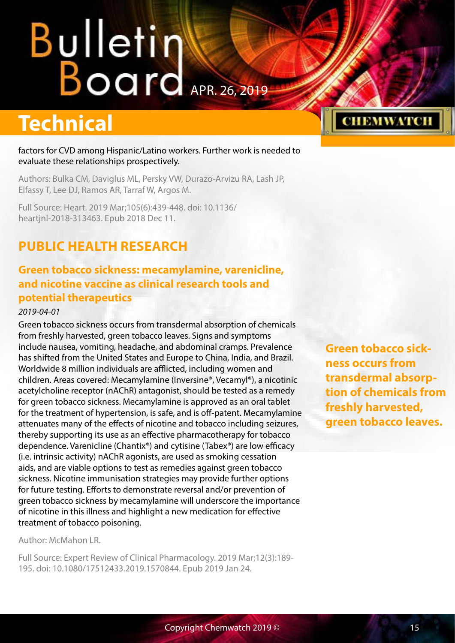## <span id="page-14-0"></span>**Bulletintendents**

### **Technical**

factors for CVD among Hispanic/Latino workers. Further work is needed to evaluate these relationships prospectively.

Authors: Bulka CM, Daviglus ML, Persky VW, Durazo-Arvizu RA, Lash JP, Elfassy T, Lee DJ, Ramos AR, Tarraf W, Argos M.

Full Source: Heart. 2019 Mar;105(6):439-448. doi: 10.1136/ heartjnl-2018-313463. Epub 2018 Dec 11.

#### **PUBLIC HEALTH RESEARCH**

#### **Green tobacco sickness: mecamylamine, varenicline, and nicotine vaccine as clinical research tools and potential therapeutics**

#### *2019-04-01*

Green tobacco sickness occurs from transdermal absorption of chemicals from freshly harvested, green tobacco leaves. Signs and symptoms include nausea, vomiting, headache, and abdominal cramps. Prevalence has shifted from the United States and Europe to China, India, and Brazil. Worldwide 8 million individuals are afflicted, including women and children. Areas covered: Mecamylamine (Inversine®, Vecamyl®), a nicotinic acetylcholine receptor (nAChR) antagonist, should be tested as a remedy for green tobacco sickness. Mecamylamine is approved as an oral tablet for the treatment of hypertension, is safe, and is off-patent. Mecamylamine attenuates many of the effects of nicotine and tobacco including seizures, thereby supporting its use as an effective pharmacotherapy for tobacco dependence. Varenicline (Chantix®) and cytisine (Tabex®) are low efficacy (i.e. intrinsic activity) nAChR agonists, are used as smoking cessation aids, and are viable options to test as remedies against green tobacco sickness. Nicotine immunisation strategies may provide further options for future testing. Efforts to demonstrate reversal and/or prevention of green tobacco sickness by mecamylamine will underscore the importance of nicotine in this illness and highlight a new medication for effective treatment of tobacco poisoning.

Author: McMahon LR.

Full Source: Expert Review of Clinical Pharmacology. 2019 Mar;12(3):189- 195. doi: 10.1080/17512433.2019.1570844. Epub 2019 Jan 24.

**Green tobacco sickness occurs from transdermal absorption of chemicals from freshly harvested, green tobacco leaves.**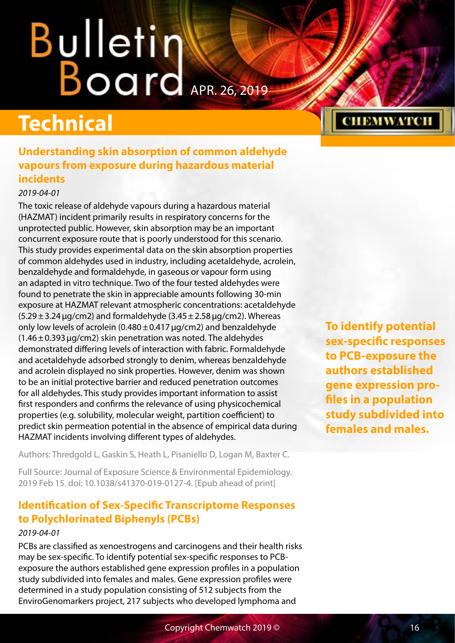## <span id="page-15-0"></span>**Bulletin Board**

## **Technical**

#### **Understanding skin absorption of common aldehyde vapours from exposure during hazardous material incidents**

#### *2019-04-01*

The toxic release of aldehyde vapours during a hazardous material (HAZMAT) incident primarily results in respiratory concerns for the unprotected public. However, skin absorption may be an important concurrent exposure route that is poorly understood for this scenario. This study provides experimental data on the skin absorption properties of common aldehydes used in industry, including acetaldehyde, acrolein, benzaldehyde and formaldehyde, in gaseous or vapour form using an adapted in vitro technique. Two of the four tested aldehydes were found to penetrate the skin in appreciable amounts following 30-min exposure at HAZMAT relevant atmospheric concentrations: acetaldehyde  $(5.29 \pm 3.24 \,\mu g/cm2)$  and formaldehyde  $(3.45 \pm 2.58 \,\mu g/cm2)$ . Whereas only low levels of acrolein (0.480 $\pm$ 0.417  $\mu$ g/cm2) and benzaldehyde  $(1.46 \pm 0.393 \,\mu\text{g/cm2})$  skin penetration was noted. The aldehydes demonstrated differing levels of interaction with fabric. Formaldehyde and acetaldehyde adsorbed strongly to denim, whereas benzaldehyde and acrolein displayed no sink properties. However, denim was shown to be an initial protective barrier and reduced penetration outcomes for all aldehydes. This study provides important information to assist first responders and confirms the relevance of using physicochemical properties (e.g. solubility, molecular weight, partition coefficient) to predict skin permeation potential in the absence of empirical data during HAZMAT incidents involving different types of aldehydes.

Authors: Thredgold L, Gaskin S, Heath L, Pisaniello D, Logan M, Baxter C.

Full Source: Journal of Exposure Science & Environmental Epidemiology. 2019 Feb 15. doi: 10.1038/s41370-019-0127-4. [Epub ahead of print]

#### **Identification of Sex-Specific Transcriptome Responses to Polychlorinated Biphenyls (PCBs)**

#### *2019-04-01*

PCBs are classified as xenoestrogens and carcinogens and their health risks may be sex-specific. To identify potential sex-specific responses to PCBexposure the authors established gene expression profiles in a population study subdivided into females and males. Gene expression profiles were determined in a study population consisting of 512 subjects from the EnviroGenomarkers project, 217 subjects who developed lymphoma and

**To identify potential sex-specific responses to PCB-exposure the authors established gene expression profiles in a population study subdivided into females and males.**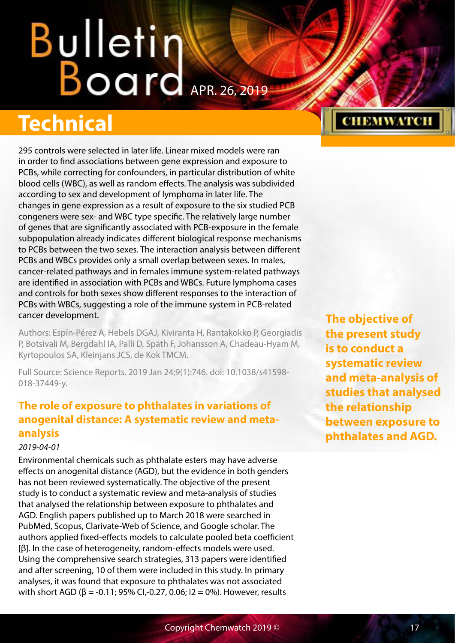## <span id="page-16-0"></span>Bulletin Karl 2019

## **Technical**

295 controls were selected in later life. Linear mixed models were ran in order to find associations between gene expression and exposure to PCBs, while correcting for confounders, in particular distribution of white blood cells (WBC), as well as random effects. The analysis was subdivided according to sex and development of lymphoma in later life. The changes in gene expression as a result of exposure to the six studied PCB congeners were sex- and WBC type specific. The relatively large number of genes that are significantly associated with PCB-exposure in the female subpopulation already indicates different biological response mechanisms to PCBs between the two sexes. The interaction analysis between different PCBs and WBCs provides only a small overlap between sexes. In males, cancer-related pathways and in females immune system-related pathways are identified in association with PCBs and WBCs. Future lymphoma cases and controls for both sexes show different responses to the interaction of PCBs with WBCs, suggesting a role of the immune system in PCB-related cancer development.

Authors: Espín-Pérez A, Hebels DGAJ, Kiviranta H, Rantakokko P, Georgiadis P, Botsivali M, Bergdahl IA, Palli D, Späth F, Johansson A, Chadeau-Hyam M, Kyrtopoulos SA, Kleinjans JCS, de Kok TMCM.

Full Source: Science Reports. 2019 Jan 24;9(1):746. doi: 10.1038/s41598- 018-37449-y.

#### **The role of exposure to phthalates in variations of anogenital distance: A systematic review and metaanalysis**

#### *2019-04-01*

Environmental chemicals such as phthalate esters may have adverse effects on anogenital distance (AGD), but the evidence in both genders has not been reviewed systematically. The objective of the present study is to conduct a systematic review and meta-analysis of studies that analysed the relationship between exposure to phthalates and AGD. English papers published up to March 2018 were searched in PubMed, Scopus, Clarivate-Web of Science, and Google scholar. The authors applied fixed-effects models to calculate pooled beta coefficient [β]. In the case of heterogeneity, random-effects models were used. Using the comprehensive search strategies, 313 papers were identified and after screening, 10 of them were included in this study. In primary analyses, it was found that exposure to phthalates was not associated with short AGD (β = -0.11; 95% CI,-0.27, 0.06; I2 = 0%). However, results

**The objective of the present study is to conduct a systematic review and meta-analysis of studies that analysed the relationship between exposure to phthalates and AGD.**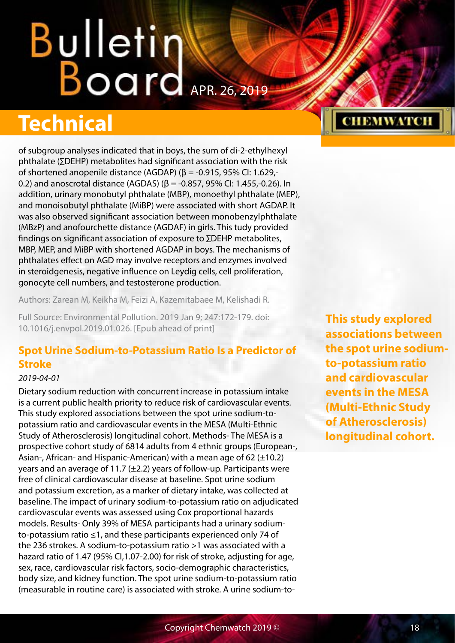## <span id="page-17-0"></span>Bulletin Board APR. 26, 2019

### **Technical**

of subgroup analyses indicated that in boys, the sum of di-2-ethylhexyl phthalate (∑DEHP) metabolites had significant association with the risk of shortened anopenile distance (AGDAP) (β = -0.915, 95% CI: 1.629,- 0.2) and anoscrotal distance (AGDAS) ( $\beta$  = -0.857, 95% CI: 1.455,-0.26). In addition, urinary monobutyl phthalate (MBP), monoethyl phthalate (MEP), and monoisobutyl phthalate (MiBP) were associated with short AGDAP. It was also observed significant association between monobenzylphthalate (MBzP) and anofourchette distance (AGDAF) in girls. This tudy provided findings on significant association of exposure to ∑DEHP metabolites, MBP, MEP, and MiBP with shortened AGDAP in boys. The mechanisms of phthalates effect on AGD may involve receptors and enzymes involved in steroidgenesis, negative influence on Leydig cells, cell proliferation, gonocyte cell numbers, and testosterone production.

Authors: Zarean M, Keikha M, Feizi A, Kazemitabaee M, Kelishadi R.

Full Source: Environmental Pollution. 2019 Jan 9; 247:172-179. doi: 10.1016/j.envpol.2019.01.026. [Epub ahead of print]

#### **Spot Urine Sodium-to-Potassium Ratio Is a Predictor of Stroke**

#### *2019-04-01*

Dietary sodium reduction with concurrent increase in potassium intake is a current public health priority to reduce risk of cardiovascular events. This study explored associations between the spot urine sodium-topotassium ratio and cardiovascular events in the MESA (Multi-Ethnic Study of Atherosclerosis) longitudinal cohort. Methods- The MESA is a prospective cohort study of 6814 adults from 4 ethnic groups (European-, Asian-, African- and Hispanic-American) with a mean age of 62  $(\pm 10.2)$ years and an average of 11.7  $(\pm 2.2)$  years of follow-up. Participants were free of clinical cardiovascular disease at baseline. Spot urine sodium and potassium excretion, as a marker of dietary intake, was collected at baseline. The impact of urinary sodium-to-potassium ratio on adjudicated cardiovascular events was assessed using Cox proportional hazards models. Results- Only 39% of MESA participants had a urinary sodiumto-potassium ratio ≤1, and these participants experienced only 74 of the 236 strokes. A sodium-to-potassium ratio >1 was associated with a hazard ratio of 1.47 (95% Cl.1.07-2.00) for risk of stroke, adjusting for age, sex, race, cardiovascular risk factors, socio-demographic characteristics, body size, and kidney function. The spot urine sodium-to-potassium ratio (measurable in routine care) is associated with stroke. A urine sodium-to**This study explored associations between the spot urine sodiumto-potassium ratio and cardiovascular events in the MESA (Multi-Ethnic Study of Atherosclerosis) longitudinal cohort.**